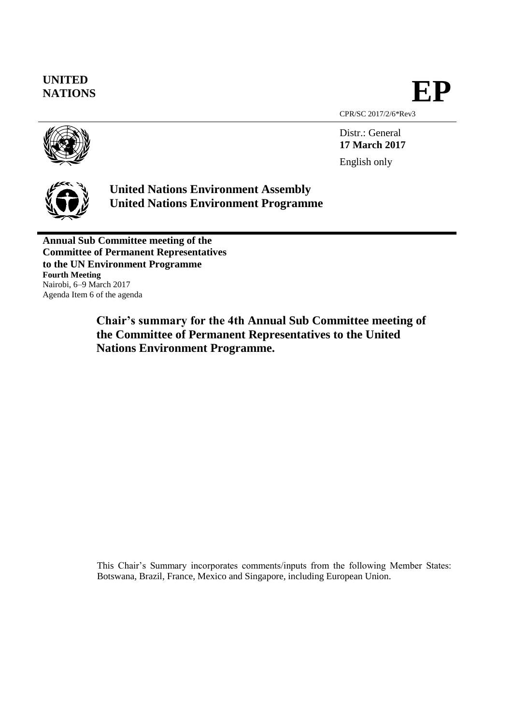**UNITED** NATIONS<br>NATIONS

CPR/SC 2017/2/6\*Rev3

Distr.: General **17 March 2017** English only

**United Nations Environment Assembly United Nations Environment Programme**

**Annual Sub Committee meeting of the Committee of Permanent Representatives to the UN Environment Programme Fourth Meeting** Nairobi, 6–9 March 2017 Agenda Item 6 of the agenda

> **Chair's summary for the 4th Annual Sub Committee meeting of the Committee of Permanent Representatives to the United Nations Environment Programme.**

This Chair's Summary incorporates comments/inputs from the following Member States: Botswana, Brazil, France, Mexico and Singapore, including European Union.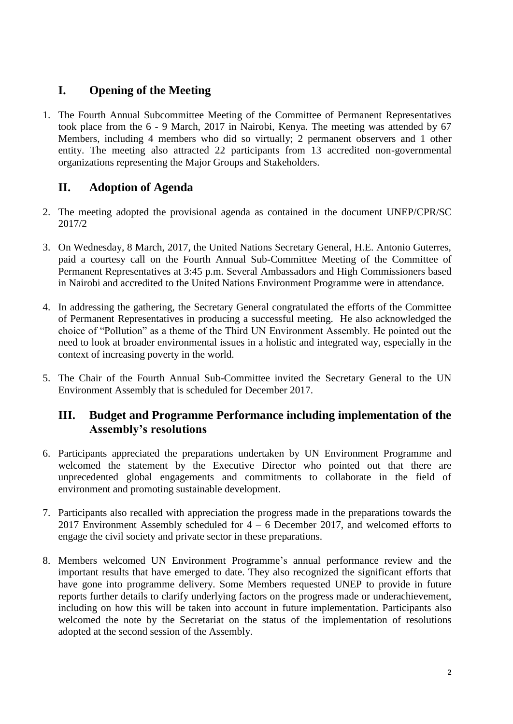# **I. Opening of the Meeting**

1. The Fourth Annual Subcommittee Meeting of the Committee of Permanent Representatives took place from the 6 - 9 March, 2017 in Nairobi, Kenya. The meeting was attended by 67 Members, including 4 members who did so virtually; 2 permanent observers and 1 other entity. The meeting also attracted 22 participants from 13 accredited non-governmental organizations representing the Major Groups and Stakeholders.

# **II. Adoption of Agenda**

- 2. The meeting adopted the provisional agenda as contained in the document UNEP/CPR/SC 2017/2
- 3. On Wednesday, 8 March, 2017, the United Nations Secretary General, H.E. Antonio Guterres, paid a courtesy call on the Fourth Annual Sub-Committee Meeting of the Committee of Permanent Representatives at 3:45 p.m. Several Ambassadors and High Commissioners based in Nairobi and accredited to the United Nations Environment Programme were in attendance.
- 4. In addressing the gathering, the Secretary General congratulated the efforts of the Committee of Permanent Representatives in producing a successful meeting. He also acknowledged the choice of "Pollution" as a theme of the Third UN Environment Assembly. He pointed out the need to look at broader environmental issues in a holistic and integrated way, especially in the context of increasing poverty in the world.
- 5. The Chair of the Fourth Annual Sub-Committee invited the Secretary General to the UN Environment Assembly that is scheduled for December 2017.

## **III. Budget and Programme Performance including implementation of the Assembly's resolutions**

- 6. Participants appreciated the preparations undertaken by UN Environment Programme and welcomed the statement by the Executive Director who pointed out that there are unprecedented global engagements and commitments to collaborate in the field of environment and promoting sustainable development.
- 7. Participants also recalled with appreciation the progress made in the preparations towards the 2017 Environment Assembly scheduled for  $4 - 6$  December 2017, and welcomed efforts to engage the civil society and private sector in these preparations.
- 8. Members welcomed UN Environment Programme's annual performance review and the important results that have emerged to date. They also recognized the significant efforts that have gone into programme delivery. Some Members requested UNEP to provide in future reports further details to clarify underlying factors on the progress made or underachievement, including on how this will be taken into account in future implementation. Participants also welcomed the note by the Secretariat on the status of the implementation of resolutions adopted at the second session of the Assembly.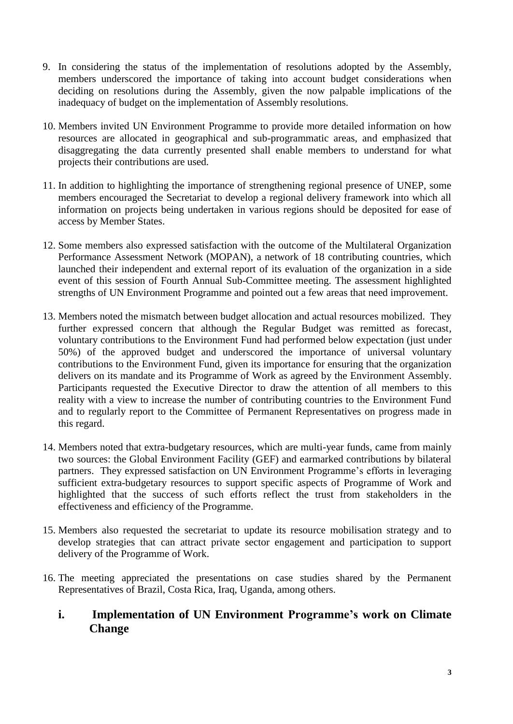- 9. In considering the status of the implementation of resolutions adopted by the Assembly, members underscored the importance of taking into account budget considerations when deciding on resolutions during the Assembly, given the now palpable implications of the inadequacy of budget on the implementation of Assembly resolutions.
- 10. Members invited UN Environment Programme to provide more detailed information on how resources are allocated in geographical and sub-programmatic areas, and emphasized that disaggregating the data currently presented shall enable members to understand for what projects their contributions are used.
- 11. In addition to highlighting the importance of strengthening regional presence of UNEP, some members encouraged the Secretariat to develop a regional delivery framework into which all information on projects being undertaken in various regions should be deposited for ease of access by Member States.
- 12. Some members also expressed satisfaction with the outcome of the Multilateral Organization Performance Assessment Network (MOPAN), a network of 18 contributing countries, which launched their independent and external report of its evaluation of the organization in a side event of this session of Fourth Annual Sub-Committee meeting. The assessment highlighted strengths of UN Environment Programme and pointed out a few areas that need improvement.
- 13. Members noted the mismatch between budget allocation and actual resources mobilized. They further expressed concern that although the Regular Budget was remitted as forecast, voluntary contributions to the Environment Fund had performed below expectation (just under 50%) of the approved budget and underscored the importance of universal voluntary contributions to the Environment Fund, given its importance for ensuring that the organization delivers on its mandate and its Programme of Work as agreed by the Environment Assembly. Participants requested the Executive Director to draw the attention of all members to this reality with a view to increase the number of contributing countries to the Environment Fund and to regularly report to the Committee of Permanent Representatives on progress made in this regard.
- 14. Members noted that extra-budgetary resources, which are multi-year funds, came from mainly two sources: the Global Environment Facility (GEF) and earmarked contributions by bilateral partners. They expressed satisfaction on UN Environment Programme's efforts in leveraging sufficient extra-budgetary resources to support specific aspects of Programme of Work and highlighted that the success of such efforts reflect the trust from stakeholders in the effectiveness and efficiency of the Programme.
- 15. Members also requested the secretariat to update its resource mobilisation strategy and to develop strategies that can attract private sector engagement and participation to support delivery of the Programme of Work.
- 16. The meeting appreciated the presentations on case studies shared by the Permanent Representatives of Brazil, Costa Rica, Iraq, Uganda, among others.

## **i. Implementation of UN Environment Programme's work on Climate Change**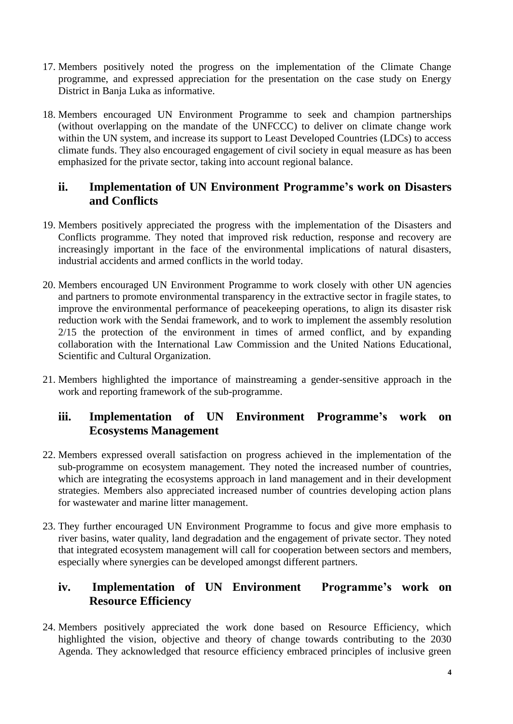- 17. Members positively noted the progress on the implementation of the Climate Change programme, and expressed appreciation for the presentation on the case study on Energy District in Banja Luka as informative.
- 18. Members encouraged UN Environment Programme to seek and champion partnerships (without overlapping on the mandate of the UNFCCC) to deliver on climate change work within the UN system, and increase its support to Least Developed Countries (LDCs) to access climate funds. They also encouraged engagement of civil society in equal measure as has been emphasized for the private sector, taking into account regional balance.

## **ii. Implementation of UN Environment Programme's work on Disasters and Conflicts**

- 19. Members positively appreciated the progress with the implementation of the Disasters and Conflicts programme. They noted that improved risk reduction, response and recovery are increasingly important in the face of the environmental implications of natural disasters, industrial accidents and armed conflicts in the world today.
- 20. Members encouraged UN Environment Programme to work closely with other UN agencies and partners to promote environmental transparency in the extractive sector in fragile states, to improve the environmental performance of peacekeeping operations, to align its disaster risk reduction work with the Sendai framework, and to work to implement the assembly resolution 2/15 the protection of the environment in times of armed conflict, and by expanding collaboration with the International Law Commission and the United Nations Educational, Scientific and Cultural Organization.
- 21. Members highlighted the importance of mainstreaming a gender-sensitive approach in the work and reporting framework of the sub-programme.

## **iii. Implementation of UN Environment Programme's work on Ecosystems Management**

- 22. Members expressed overall satisfaction on progress achieved in the implementation of the sub-programme on ecosystem management. They noted the increased number of countries, which are integrating the ecosystems approach in land management and in their development strategies. Members also appreciated increased number of countries developing action plans for wastewater and marine litter management.
- 23. They further encouraged UN Environment Programme to focus and give more emphasis to river basins, water quality, land degradation and the engagement of private sector. They noted that integrated ecosystem management will call for cooperation between sectors and members, especially where synergies can be developed amongst different partners.

## **iv. Implementation of UN Environment Programme's work on Resource Efficiency**

24. Members positively appreciated the work done based on Resource Efficiency, which highlighted the vision, objective and theory of change towards contributing to the 2030 Agenda. They acknowledged that resource efficiency embraced principles of inclusive green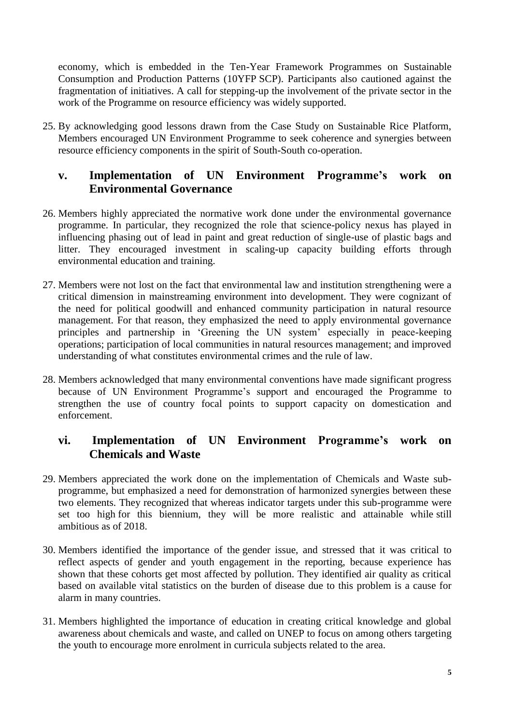economy, which is embedded in the Ten-Year Framework Programmes on Sustainable Consumption and Production Patterns (10YFP SCP). Participants also cautioned against the fragmentation of initiatives. A call for stepping-up the involvement of the private sector in the work of the Programme on resource efficiency was widely supported.

25. By acknowledging good lessons drawn from the Case Study on Sustainable Rice Platform, Members encouraged UN Environment Programme to seek coherence and synergies between resource efficiency components in the spirit of South-South co-operation.

## **v. Implementation of UN Environment Programme's work on Environmental Governance**

- 26. Members highly appreciated the normative work done under the environmental governance programme. In particular, they recognized the role that science-policy nexus has played in influencing phasing out of lead in paint and great reduction of single-use of plastic bags and litter. They encouraged investment in scaling-up capacity building efforts through environmental education and training.
- 27. Members were not lost on the fact that environmental law and institution strengthening were a critical dimension in mainstreaming environment into development. They were cognizant of the need for political goodwill and enhanced community participation in natural resource management. For that reason, they emphasized the need to apply environmental governance principles and partnership in 'Greening the UN system' especially in peace-keeping operations; participation of local communities in natural resources management; and improved understanding of what constitutes environmental crimes and the rule of law.
- 28. Members acknowledged that many environmental conventions have made significant progress because of UN Environment Programme's support and encouraged the Programme to strengthen the use of country focal points to support capacity on domestication and enforcement.

## **vi. Implementation of UN Environment Programme's work on Chemicals and Waste**

- 29. Members appreciated the work done on the implementation of Chemicals and Waste subprogramme, but emphasized a need for demonstration of harmonized synergies between these two elements. They recognized that whereas indicator targets under this sub-programme were set too high for this biennium, they will be more realistic and attainable while still ambitious as of 2018.
- 30. Members identified the importance of the gender issue, and stressed that it was critical to reflect aspects of gender and youth engagement in the reporting, because experience has shown that these cohorts get most affected by pollution. They identified air quality as critical based on available vital statistics on the burden of disease due to this problem is a cause for alarm in many countries.
- 31. Members highlighted the importance of education in creating critical knowledge and global awareness about chemicals and waste, and called on UNEP to focus on among others targeting the youth to encourage more enrolment in curricula subjects related to the area.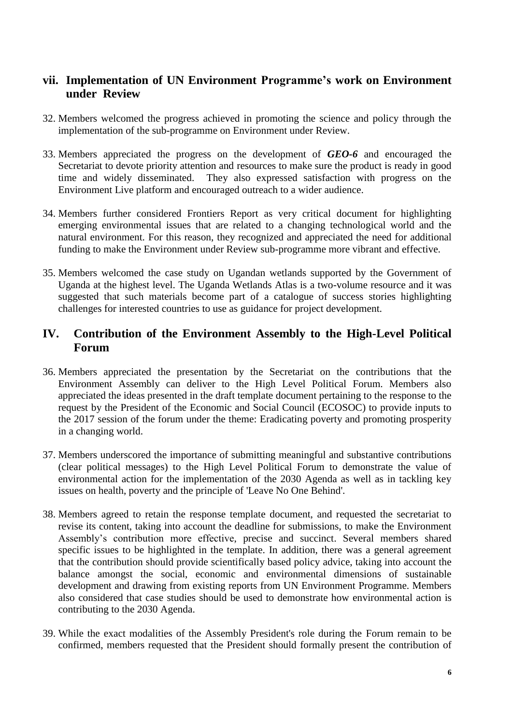## **vii. Implementation of UN Environment Programme's work on Environment under Review**

- 32. Members welcomed the progress achieved in promoting the science and policy through the implementation of the sub-programme on Environment under Review.
- 33. Members appreciated the progress on the development of *GEO-6* and encouraged the Secretariat to devote priority attention and resources to make sure the product is ready in good time and widely disseminated. They also expressed satisfaction with progress on the Environment Live platform and encouraged outreach to a wider audience.
- 34. Members further considered Frontiers Report as very critical document for highlighting emerging environmental issues that are related to a changing technological world and the natural environment. For this reason, they recognized and appreciated the need for additional funding to make the Environment under Review sub-programme more vibrant and effective.
- 35. Members welcomed the case study on Ugandan wetlands supported by the Government of Uganda at the highest level. The Uganda Wetlands Atlas is a two-volume resource and it was suggested that such materials become part of a catalogue of success stories highlighting challenges for interested countries to use as guidance for project development.

## **IV. Contribution of the Environment Assembly to the High-Level Political Forum**

- 36. Members appreciated the presentation by the Secretariat on the contributions that the Environment Assembly can deliver to the High Level Political Forum. Members also appreciated the ideas presented in the draft template document pertaining to the response to the request by the President of the Economic and Social Council (ECOSOC) to provide inputs to the 2017 session of the forum under the theme: Eradicating poverty and promoting prosperity in a changing world.
- 37. Members underscored the importance of submitting meaningful and substantive contributions (clear political messages) to the High Level Political Forum to demonstrate the value of environmental action for the implementation of the 2030 Agenda as well as in tackling key issues on health, poverty and the principle of 'Leave No One Behind'.
- 38. Members agreed to retain the response template document, and requested the secretariat to revise its content, taking into account the deadline for submissions, to make the Environment Assembly's contribution more effective, precise and succinct. Several members shared specific issues to be highlighted in the template. In addition, there was a general agreement that the contribution should provide scientifically based policy advice, taking into account the balance amongst the social, economic and environmental dimensions of sustainable development and drawing from existing reports from UN Environment Programme. Members also considered that case studies should be used to demonstrate how environmental action is contributing to the 2030 Agenda.
- 39. While the exact modalities of the Assembly President's role during the Forum remain to be confirmed, members requested that the President should formally present the contribution of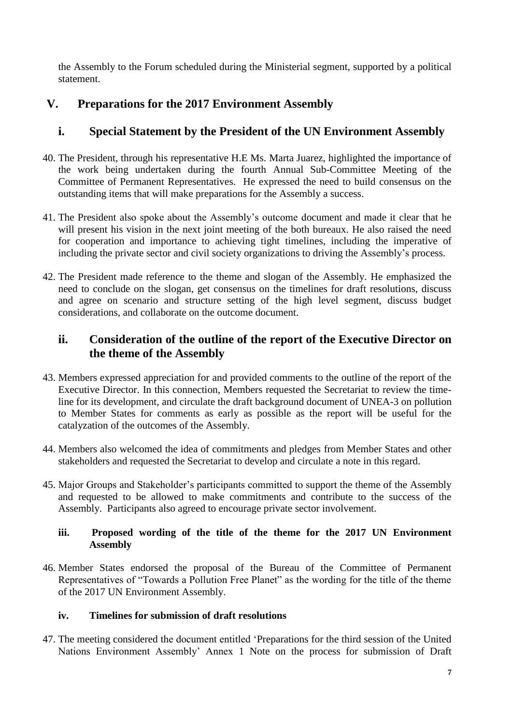the Assembly to the Forum scheduled during the Ministerial segment, supported by a political statement.

# **V. Preparations for the 2017 Environment Assembly**

# **i. Special Statement by the President of the UN Environment Assembly**

- 40. The President, through his representative H.E Ms. Marta Juarez, highlighted the importance of the work being undertaken during the fourth Annual Sub-Committee Meeting of the Committee of Permanent Representatives. He expressed the need to build consensus on the outstanding items that will make preparations for the Assembly a success.
- 41. The President also spoke about the Assembly's outcome document and made it clear that he will present his vision in the next joint meeting of the both bureaux. He also raised the need for cooperation and importance to achieving tight timelines, including the imperative of including the private sector and civil society organizations to driving the Assembly's process.
- 42. The President made reference to the theme and slogan of the Assembly. He emphasized the need to conclude on the slogan, get consensus on the timelines for draft resolutions, discuss and agree on scenario and structure setting of the high level segment, discuss budget considerations, and collaborate on the outcome document.

# **ii. Consideration of the outline of the report of the Executive Director on the theme of the Assembly**

- 43. Members expressed appreciation for and provided comments to the outline of the report of the Executive Director. In this connection, Members requested the Secretariat to review the timeline for its development, and circulate the draft background document of UNEA-3 on pollution to Member States for comments as early as possible as the report will be useful for the catalyzation of the outcomes of the Assembly.
- 44. Members also welcomed the idea of commitments and pledges from Member States and other stakeholders and requested the Secretariat to develop and circulate a note in this regard.
- 45. Major Groups and Stakeholder's participants committed to support the theme of the Assembly and requested to be allowed to make commitments and contribute to the success of the Assembly. Participants also agreed to encourage private sector involvement.

### **iii. Proposed wording of the title of the theme for the 2017 UN Environment Assembly**

46. Member States endorsed the proposal of the Bureau of the Committee of Permanent Representatives of "Towards a Pollution Free Planet" as the wording for the title of the theme of the 2017 UN Environment Assembly.

### **iv. Timelines for submission of draft resolutions**

47. The meeting considered the document entitled 'Preparations for the third session of the United Nations Environment Assembly' Annex 1 Note on the process for submission of Draft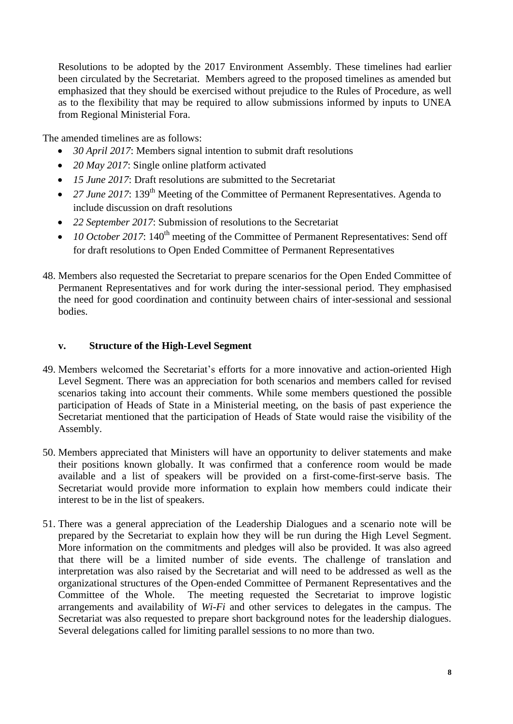Resolutions to be adopted by the 2017 Environment Assembly. These timelines had earlier been circulated by the Secretariat. Members agreed to the proposed timelines as amended but emphasized that they should be exercised without prejudice to the Rules of Procedure, as well as to the flexibility that may be required to allow submissions informed by inputs to UNEA from Regional Ministerial Fora.

The amended timelines are as follows:

- *30 April 2017*: Members signal intention to submit draft resolutions
- *20 May 2017*: Single online platform activated
- *15 June 2017*: Draft resolutions are submitted to the Secretariat
- 27 *June 2017*: 139<sup>th</sup> Meeting of the Committee of Permanent Representatives. Agenda to include discussion on draft resolutions
- *22 September 2017*: Submission of resolutions to the Secretariat
- $\bullet$  10 October 2017: 140<sup>th</sup> meeting of the Committee of Permanent Representatives: Send off for draft resolutions to Open Ended Committee of Permanent Representatives
- 48. Members also requested the Secretariat to prepare scenarios for the Open Ended Committee of Permanent Representatives and for work during the inter-sessional period. They emphasised the need for good coordination and continuity between chairs of inter-sessional and sessional bodies.

#### **v. Structure of the High-Level Segment**

- 49. Members welcomed the Secretariat's efforts for a more innovative and action-oriented High Level Segment. There was an appreciation for both scenarios and members called for revised scenarios taking into account their comments. While some members questioned the possible participation of Heads of State in a Ministerial meeting, on the basis of past experience the Secretariat mentioned that the participation of Heads of State would raise the visibility of the Assembly.
- 50. Members appreciated that Ministers will have an opportunity to deliver statements and make their positions known globally. It was confirmed that a conference room would be made available and a list of speakers will be provided on a first-come-first-serve basis. The Secretariat would provide more information to explain how members could indicate their interest to be in the list of speakers.
- 51. There was a general appreciation of the Leadership Dialogues and a scenario note will be prepared by the Secretariat to explain how they will be run during the High Level Segment. More information on the commitments and pledges will also be provided. It was also agreed that there will be a limited number of side events. The challenge of translation and interpretation was also raised by the Secretariat and will need to be addressed as well as the organizational structures of the Open-ended Committee of Permanent Representatives and the Committee of the Whole. The meeting requested the Secretariat to improve logistic arrangements and availability of *Wi-Fi* and other services to delegates in the campus. The Secretariat was also requested to prepare short background notes for the leadership dialogues. Several delegations called for limiting parallel sessions to no more than two.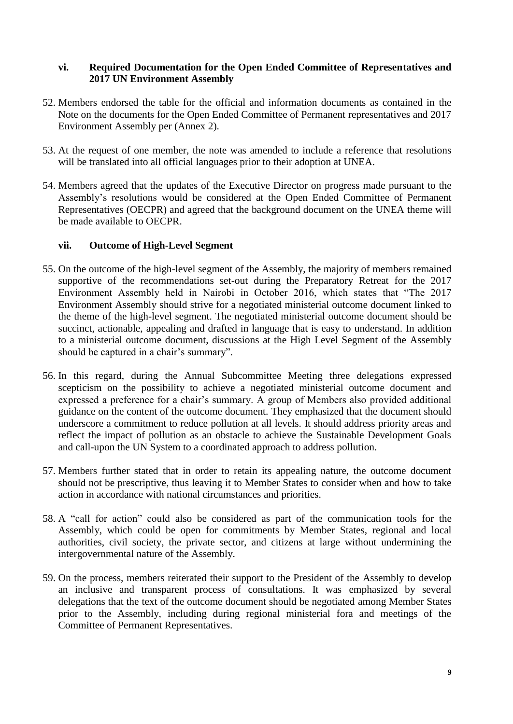#### **vi. Required Documentation for the Open Ended Committee of Representatives and 2017 UN Environment Assembly**

- 52. Members endorsed the table for the official and information documents as contained in the Note on the documents for the Open Ended Committee of Permanent representatives and 2017 Environment Assembly per (Annex 2).
- 53. At the request of one member, the note was amended to include a reference that resolutions will be translated into all official languages prior to their adoption at UNEA.
- 54. Members agreed that the updates of the Executive Director on progress made pursuant to the Assembly's resolutions would be considered at the Open Ended Committee of Permanent Representatives (OECPR) and agreed that the background document on the UNEA theme will be made available to OECPR.

#### **vii. Outcome of High-Level Segment**

- 55. On the outcome of the high-level segment of the Assembly, the majority of members remained supportive of the recommendations set-out during the Preparatory Retreat for the 2017 Environment Assembly held in Nairobi in October 2016, which states that "The 2017 Environment Assembly should strive for a negotiated ministerial outcome document linked to the theme of the high-level segment. The negotiated ministerial outcome document should be succinct, actionable, appealing and drafted in language that is easy to understand. In addition to a ministerial outcome document, discussions at the High Level Segment of the Assembly should be captured in a chair's summary".
- 56. In this regard, during the Annual Subcommittee Meeting three delegations expressed scepticism on the possibility to achieve a negotiated ministerial outcome document and expressed a preference for a chair's summary. A group of Members also provided additional guidance on the content of the outcome document. They emphasized that the document should underscore a commitment to reduce pollution at all levels. It should address priority areas and reflect the impact of pollution as an obstacle to achieve the Sustainable Development Goals and call-upon the UN System to a coordinated approach to address pollution.
- 57. Members further stated that in order to retain its appealing nature, the outcome document should not be prescriptive, thus leaving it to Member States to consider when and how to take action in accordance with national circumstances and priorities.
- 58. A "call for action" could also be considered as part of the communication tools for the Assembly, which could be open for commitments by Member States, regional and local authorities, civil society, the private sector, and citizens at large without undermining the intergovernmental nature of the Assembly.
- 59. On the process, members reiterated their support to the President of the Assembly to develop an inclusive and transparent process of consultations. It was emphasized by several delegations that the text of the outcome document should be negotiated among Member States prior to the Assembly, including during regional ministerial fora and meetings of the Committee of Permanent Representatives.